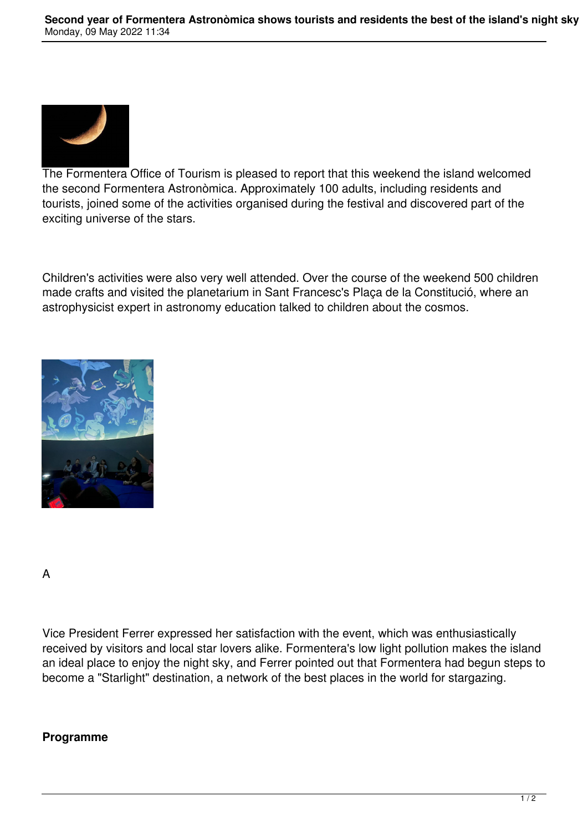

The Formentera Office of Tourism is pleased to report that this weekend the island welcomed the second Formentera Astronòmica. Approximately 100 adults, including residents and tourists, joined some of the activities organised during the festival and discovered part of the exciting universe of the stars.

Children's activities were also very well attended. Over the course of the weekend 500 children made crafts and visited the planetarium in Sant Francesc's Plaça de la Constitució, where an astrophysicist expert in astronomy education talked to children about the cosmos.



A

Vice President Ferrer expressed her satisfaction with the event, which was enthusiastically received by visitors and local star lovers alike. Formentera's low light pollution makes the island an ideal place to enjoy the night sky, and Ferrer pointed out that Formentera had begun steps to become a "Starlight" destination, a network of the best places in the world for stargazing.

## **Programme**